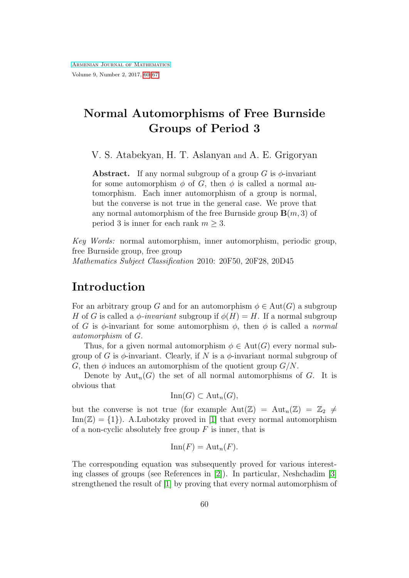# <span id="page-0-0"></span>Normal Automorphisms of Free Burnside Groups of Period 3

V. S. Atabekyan, H. T. Aslanyan and A. E. Grigoryan

**Abstract.** If any normal subgroup of a group G is  $\phi$ -invariant for some automorphism  $\phi$  of G, then  $\phi$  is called a normal automorphism. Each inner automorphism of a group is normal, but the converse is not true in the general case. We prove that any normal automorphism of the free Burnside group  $\mathbf{B}(m, 3)$  of period 3 is inner for each rank  $m > 3$ .

Key Words: normal automorphism, inner automorphism, periodic group, free Burnside group, free group

Mathematics Subject Classification 2010: 20F50, 20F28, 20D45

## Introduction

For an arbitrary group G and for an automorphism  $\phi \in Aut(G)$  a subgroup H of G is called a  $\phi$ -invariant subgroup if  $\phi(H) = H$ . If a normal subgroup of G is  $\phi$ -invariant for some automorphism  $\phi$ , then  $\phi$  is called a normal automorphism of G.

Thus, for a given normal automorphism  $\phi \in \text{Aut}(G)$  every normal subgroup of G is  $\phi$ -invariant. Clearly, if N is a  $\phi$ -invariant normal subgroup of G, then  $\phi$  induces an automorphism of the quotient group  $G/N$ .

Denote by  ${\rm Aut}_n(G)$  the set of all normal automorphisms of G. It is obvious that

$$
\operatorname{Inn}(G) \subset \operatorname{Aut}_n(G),
$$

but the converse is not true (for example  $Aut(\mathbb{Z}) = Aut_n(\mathbb{Z}) = \mathbb{Z}_2 \neq$  $\text{Inn}(\mathbb{Z}) = \{1\}$ . A.Lubotzky proved in [\[1\]](#page-6-0) that every normal automorphism of a non-cyclic absolutely free group  $F$  is inner, that is

$$
\operatorname{Inn}(F) = \operatorname{Aut}_n(F).
$$

The corresponding equation was subsequently proved for various interesting classes of groups (see References in [\[2\]](#page-6-1)). In particular, Neshchadim [\[3\]](#page-6-2) strengthened the result of [\[1\]](#page-6-0) by proving that every normal automorphism of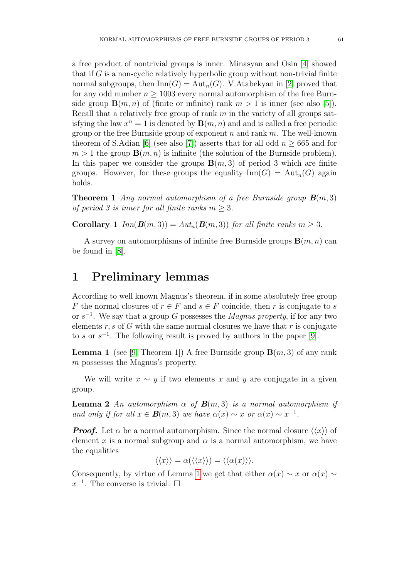a free product of nontrivial groups is inner. Minasyan and Osin [\[4\]](#page-6-3) showed that if  $G$  is a non-cyclic relatively hyperbolic group without non-trivial finite normal subgroups, then  $\text{Inn}(G) = \text{Aut}_n(G)$ . V.Atabekyan in [\[2\]](#page-6-1) proved that for any odd number  $n > 1003$  every normal automorphism of the free Burnside group  $\mathbf{B}(m, n)$  of (finite or infinite) rank  $m > 1$  is inner (see also [\[5\]](#page-6-4)). Recall that a relatively free group of rank  $m$  in the variety of all groups satisfying the law  $x^n = 1$  is denoted by  $\mathbf{B}(m, n)$  and and is called a free periodic group or the free Burnside group of exponent n and rank  $m$ . The well-known theorem of S.Adian [\[6\]](#page-6-5) (see also [\[7\]](#page-6-6)) asserts that for all odd  $n \geq 665$  and for  $m > 1$  the group  $\mathbf{B}(m, n)$  is infinite (the solution of the Burnside problem). In this paper we consider the groups  $\mathbf{B}(m, 3)$  of period 3 which are finite groups. However, for these groups the equality  $\text{Inn}(G) = \text{Aut}_n(G)$  again holds.

<span id="page-1-1"></span>**Theorem 1** Any normal automorphism of a free Burnside group  $\mathbf{B}(m,3)$ of period 3 is inner for all finite ranks  $m \geq 3$ .

**Corollary 1**  $Inn(\mathbf{B}(m, 3)) = Aut_n(\mathbf{B}(m, 3))$  for all finite ranks  $m \geq 3$ .

A survey on automorphisms of infinite free Burnside groups  $B(m, n)$  can be found in [\[8\]](#page-6-7).

#### 1 Preliminary lemmas

According to well known Magnus's theorem, if in some absolutely free group F the normal closures of  $r \in F$  and  $s \in F$  coincide, then r is conjugate to s or  $s^{-1}$ . We say that a group G possesses the *Magnus property*, if for any two elements  $r, s$  of  $G$  with the same normal closures we have that  $r$  is conjugate to s or  $s^{-1}$ . The following result is proved by authors in the paper [\[9\]](#page-6-8).

<span id="page-1-0"></span>**Lemma 1** (see [\[9,](#page-6-8) Theorem 1]) A free Burnside group  $\mathbf{B}(m, 3)$  of any rank m possesses the Magnus's property.

We will write  $x \sim y$  if two elements x and y are conjugate in a given group.

**Lemma 2** An automorphism  $\alpha$  of  $\mathbf{B}(m,3)$  is a normal automorphism if and only if for all  $x \in B(m, 3)$  we have  $\alpha(x) \sim x$  or  $\alpha(x) \sim x^{-1}$ .

**Proof.** Let  $\alpha$  be a normal automorphism. Since the normal closure  $\langle\langle x \rangle\rangle$  of element x is a normal subgroup and  $\alpha$  is a normal automorphism, we have the equalities

$$
\langle \langle x \rangle \rangle = \alpha(\langle \langle x \rangle \rangle) = \langle \langle \alpha(x) \rangle \rangle.
$$

Consequently, by virtue of Lemma [1](#page-1-0) we get that either  $\alpha(x) \sim x$  or  $\alpha(x) \sim$  $x^{-1}$ . The converse is trivial.  $\square$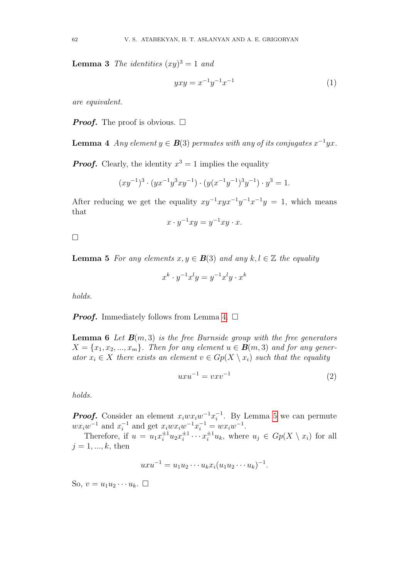**Lemma 3** The identities  $(xy)^3 = 1$  and

$$
yxy = x^{-1}y^{-1}x^{-1}
$$
 (1)

are equivalent.

**Proof.** The proof is obvious.  $\Box$ 

<span id="page-2-0"></span>**Lemma 4** Any element  $y \in \mathbf{B}(3)$  permutes with any of its conjugates  $x^{-1}yx$ .

**Proof.** Clearly, the identity  $x^3 = 1$  implies the equality

$$
(xy^{-1})^3 \cdot (yx^{-1}y^3xy^{-1}) \cdot (y(x^{-1}y^{-1})^3y^{-1}) \cdot y^3 = 1.
$$

After reducing we get the equality  $xy^{-1}xyx^{-1}y^{-1}x^{-1}y = 1$ , which means that

$$
x \cdot y^{-1}xy = y^{-1}xy \cdot x.
$$

 $\Box$ 

<span id="page-2-1"></span>**Lemma 5** For any elements  $x, y \in \mathbf{B}(3)$  and any  $k, l \in \mathbb{Z}$  the equality

$$
x^k \cdot y^{-1} x^l y = y^{-1} x^l y \cdot x^k
$$

holds.

**Proof.** Immediately follows from Lemma [4.](#page-2-0)  $\Box$ 

<span id="page-2-2"></span>**Lemma 6** Let  $\mathbf{B}(m,3)$  is the free Burnside group with the free generators  $X = \{x_1, x_2, ..., x_m\}$ . Then for any element  $u \in \mathbf{B}(m, 3)$  and for any generator  $x_i \in X$  there exists an element  $v \in Gp(X \setminus x_i)$  such that the equality

$$
uxu^{-1} = vxv^{-1}
$$
\n<sup>(2)</sup>

holds.

**Proof.** Consider an element  $x_iwx_iw^{-1}x_i^{-1}$ . By Lemma [5](#page-2-1) we can permute i  $wx_iw^{-1}$  and  $x_i^{-1}$  $i^{-1}$  and get  $x_iwx_iw^{-1}x_i^{-1} = wx_iw^{-1}$ .

Therefore, if  $u = u_1 x_i^{\pm 1} u_2 x_i^{\pm 1}$  $i^{\pm 1} \cdots x_i^{\pm 1} u_k$ , where  $u_j \in Gp(X \setminus x_i)$  for all  $j = 1, ..., k$ , then

$$
uxu^{-1} = u_1u_2\cdots u_kx_i(u_1u_2\cdots u_k)^{-1}.
$$

So,  $v = u_1 u_2 \cdots u_k$ .  $\Box$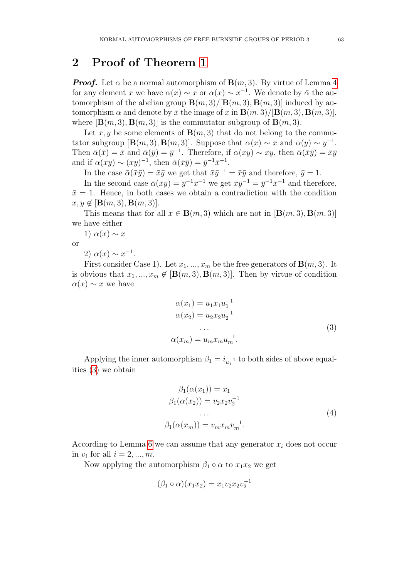#### 2 Proof of Theorem [1](#page-1-1)

**Proof.** Let  $\alpha$  be a normal automorphism of  $\mathbf{B}(m, 3)$ . By virtue of Lemma [4](#page-2-0) for any element x we have  $\alpha(x) \sim x$  or  $\alpha(x) \sim x^{-1}$ . We denote by  $\bar{\alpha}$  the automorphism of the abelian group  $\mathbf{B}(m, 3)/[\mathbf{B}(m, 3), \mathbf{B}(m, 3)]$  induced by automorphism  $\alpha$  and denote by  $\bar{x}$  the image of x in  $\mathbf{B}(m,3)/[\mathbf{B}(m,3), \mathbf{B}(m,3)]$ , where  $[\mathbf{B}(m,3), \mathbf{B}(m,3)]$  is the commutator subgroup of  $\mathbf{B}(m,3)$ .

Let x, y be some elements of  $\mathbf{B}(m,3)$  that do not belong to the commutator subgroup  $[\mathbf{B}(m,3), \mathbf{B}(m,3)]$ . Suppose that  $\alpha(x) \sim x$  and  $\alpha(y) \sim y^{-1}$ . Then  $\bar{\alpha}(\bar{x}) = \bar{x}$  and  $\bar{\alpha}(\bar{y}) = \bar{y}^{-1}$ . Therefore, if  $\alpha(xy) \sim xy$ , then  $\bar{\alpha}(\bar{x}\bar{y}) = \bar{x}\bar{y}$ and if  $\alpha(xy) \sim (xy)^{-1}$ , then  $\bar{\alpha}(\bar{x}\bar{y}) = \bar{y}^{-1}\bar{x}^{-1}$ .

In the case  $\bar{\alpha}(\bar{x}\bar{y}) = \bar{x}\bar{y}$  we get that  $\bar{x}\bar{y}^{-1} = \bar{x}\bar{y}$  and therefore,  $\bar{y} = 1$ .

In the second case  $\bar{\alpha}(\bar{x}\bar{y}) = \bar{y}^{-1}\bar{x}^{-1}$  we get  $\bar{x}\bar{y}^{-1} = \bar{y}^{-1}\bar{x}^{-1}$  and therefore,  $\bar{x}=1$ . Hence, in both cases we obtain a contradiction with the condition  $x, y \notin [\mathbf{B}(m, 3), \mathbf{B}(m, 3)].$ 

This means that for all  $x \in \mathbf{B}(m, 3)$  which are not in  $[\mathbf{B}(m, 3), \mathbf{B}(m, 3)]$ we have either

1)  $\alpha(x) \sim x$ 

or

2)  $\alpha(x) \sim x^{-1}$ .

First consider Case 1). Let  $x_1, ..., x_m$  be the free generators of  $\mathbf{B}(m, 3)$ . It is obvious that  $x_1, ..., x_m \notin [\mathbf{B}(m, 3), \mathbf{B}(m, 3)]$ . Then by virtue of condition  $\alpha(x) \sim x$  we have

<span id="page-3-0"></span>
$$
\alpha(x_1) = u_1 x_1 u_1^{-1}
$$
  
\n
$$
\alpha(x_2) = u_2 x_2 u_2^{-1}
$$
  
\n...  
\n
$$
\alpha(x_m) = u_m x_m u_m^{-1}.
$$
\n(3)

Applying the inner automorphism  $\beta_1 = i_{u_1^{-1}}$  to both sides of above equalities [\(3\)](#page-3-0) we obtain

<span id="page-3-1"></span>
$$
\beta_1(\alpha(x_1)) = x_1
$$
  
\n
$$
\beta_1(\alpha(x_2)) = v_2 x_2 v_2^{-1}
$$
  
\n...  
\n
$$
\beta_1(\alpha(x_m)) = v_m x_m v_m^{-1}.
$$
\n(4)

According to Lemma [6](#page-2-2) we can assume that any generator  $x_i$  does not occur in  $v_i$  for all  $i = 2, ..., m$ .

Now applying the automorphism  $\beta_1 \circ \alpha$  to  $x_1x_2$  we get

$$
(\beta_1 \circ \alpha)(x_1 x_2) = x_1 v_2 x_2 v_2^{-1}
$$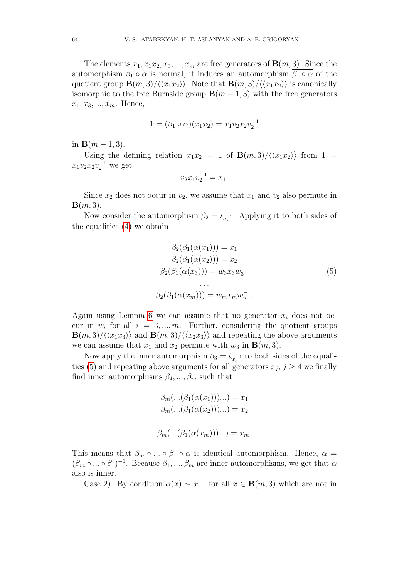The elements  $x_1, x_1x_2, x_3, ..., x_m$  are free generators of  $\mathbf{B}(m, 3)$ . Since the automorphism  $\beta_1 \circ \alpha$  is normal, it induces an automorphism  $\beta_1 \circ \alpha$  of the quotient group  $\mathbf{B}(m,3)/\langle\langle x_1x_2\rangle\rangle$ . Note that  $\mathbf{B}(m,3)/\langle\langle x_1x_2\rangle\rangle$  is canonically isomorphic to the free Burnside group  $\mathbf{B}(m-1,3)$  with the free generators  $x_1, x_3, ..., x_m$ . Hence,

$$
1 = (\overline{\beta_1 \circ \alpha})(x_1 x_2) = x_1 v_2 x_2 v_2^{-1}
$$

in  $B(m-1, 3)$ .

Using the defining relation  $x_1x_2 = 1$  of  $\mathbf{B}(m,3)/\langle\langle x_1x_2\rangle\rangle$  from  $1 =$  $x_1v_2x_2v_2^{-1}$  we get

<span id="page-4-0"></span>
$$
v_2 x_1 v_2^{-1} = x_1.
$$

Since  $x_2$  does not occur in  $v_2$ , we assume that  $x_1$  and  $v_2$  also permute in  $\mathbf{B}(m,3)$ .

Now consider the automorphism  $\beta_2 = i_{v_2^{-1}}$ . Applying it to both sides of the equalities [\(4\)](#page-3-1) we obtain

$$
\beta_2(\beta_1(\alpha(x_1))) = x_1
$$
  
\n
$$
\beta_2(\beta_1(\alpha(x_2))) = x_2
$$
  
\n
$$
\beta_2(\beta_1(\alpha(x_3))) = w_3 x_3 w_3^{-1}
$$
  
\n...  
\n
$$
\beta_2(\beta_1(\alpha(x_m))) = w_m x_m w_m^{-1},
$$
\n(5)

Again using Lemma [6](#page-2-2) we can assume that no generator  $x_i$  does not occur in  $w_i$  for all  $i = 3, ..., m$ . Further, considering the quotient groups  $\mathbf{B}(m,3)/\langle\langle x_1x_3\rangle\rangle$  and  $\mathbf{B}(m,3)/\langle\langle x_2x_3\rangle\rangle$  and repeating the above arguments we can assume that  $x_1$  and  $x_2$  permute with  $w_3$  in  $\mathbf{B}(m, 3)$ .

Now apply the inner automorphism  $\beta_3 = i_{w_3^{-1}}$  to both sides of the equali-ties [\(5\)](#page-4-0) and repeating above arguments for all generators  $x_j$ ,  $j \geq 4$  we finally find inner automorphisms  $\beta_4, ..., \beta_m$  such that

$$
\beta_m(...(\beta_1(\alpha(x_1)))...)=x_1
$$
  

$$
\beta_m(...(\beta_1(\alpha(x_2)))...)=x_2
$$
  
...  

$$
\beta_m(...(\beta_1(\alpha(x_m)))...)=x_m.
$$

This means that  $\beta_m \circ ... \circ \beta_1 \circ \alpha$  is identical automorphism. Hence,  $\alpha =$  $(\beta_m \circ ... \circ \beta_1)^{-1}$ . Because  $\beta_1, ..., \beta_m$  are inner automorphisms, we get that  $\alpha$ also is inner.

Case 2). By condition  $\alpha(x) \sim x^{-1}$  for all  $x \in \mathbf{B}(m, 3)$  which are not in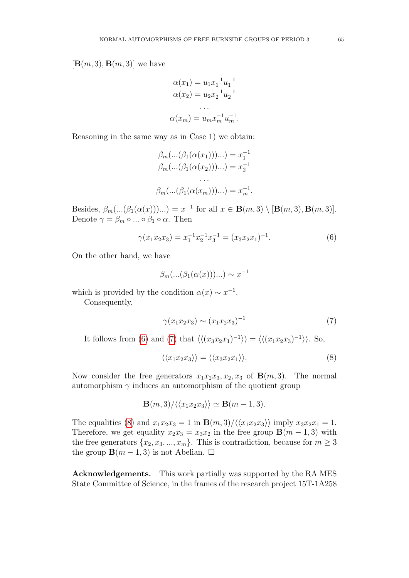$[\mathbf{B}(m,3), \mathbf{B}(m,3)]$  we have

$$
\alpha(x_1) = u_1 x_1^{-1} u_1^{-1}
$$
  
\n
$$
\alpha(x_2) = u_2 x_2^{-1} u_2^{-1}
$$
  
\n...  
\n
$$
\alpha(x_m) = u_m x_m^{-1} u_m^{-1}.
$$

Reasoning in the same way as in Case 1) we obtain:

$$
\beta_m(...(\beta_1(\alpha(x_1)))...)=x_1^{-1}
$$
  
\n
$$
\beta_m(...(\beta_1(\alpha(x_2)))...)=x_2^{-1}
$$
  
\n...  
\n
$$
\beta_m(...(\beta_1(\alpha(x_m)))...)=x_m^{-1}.
$$

Besides,  $\beta_m(...(\beta_1(\alpha(x)))...) = x^{-1}$  for all  $x \in \mathbf{B}(m,3) \setminus [\mathbf{B}(m,3), \mathbf{B}(m,3)]$ . Denote  $\gamma = \beta_m \circ ... \circ \beta_1 \circ \alpha$ . Then

$$
\gamma(x_1 x_2 x_3) = x_1^{-1} x_2^{-1} x_3^{-1} = (x_3 x_2 x_1)^{-1}.
$$
\n(6)

On the other hand, we have

<span id="page-5-0"></span>
$$
\beta_m(...(\beta_1(\alpha(x)))...)\sim x^{-1}
$$

which is provided by the condition  $\alpha(x) \sim x^{-1}$ .

Consequently,

<span id="page-5-1"></span>
$$
\gamma(x_1 x_2 x_3) \sim (x_1 x_2 x_3)^{-1} \tag{7}
$$

It follows from [\(6\)](#page-5-0) and [\(7\)](#page-5-1) that  $\langle \langle (x_3x_2x_1)^{-1} \rangle \rangle = \langle \langle (x_1x_2x_3)^{-1} \rangle \rangle$ . So,

<span id="page-5-2"></span>
$$
\langle \langle x_1 x_2 x_3 \rangle \rangle = \langle \langle x_3 x_2 x_1 \rangle \rangle. \tag{8}
$$

Now consider the free generators  $x_1x_2x_3, x_2, x_3$  of  $\mathbf{B}(m, 3)$ . The normal automorphism  $\gamma$  induces an automorphism of the quotient group

$$
\mathbf{B}(m,3)/\langle\langle x_1x_2x_3\rangle\rangle \simeq \mathbf{B}(m-1,3).
$$

The equalities [\(8\)](#page-5-2) and  $x_1x_2x_3 = 1$  in  $\mathbf{B}(m,3)/\langle\langle x_1x_2x_3\rangle\rangle$  imply  $x_3x_2x_1 = 1$ . Therefore, we get equality  $x_2x_3 = x_3x_2$  in the free group  $\mathbf{B}(m-1,3)$  with the free generators  $\{x_2, x_3, ..., x_m\}$ . This is contradiction, because for  $m \geq 3$ the group  $\mathbf{B}(m-1,3)$  is not Abelian.  $\square$ 

Acknowledgements. This work partially was supported by the RA MES State Committee of Science, in the frames of the research project 15T-1A258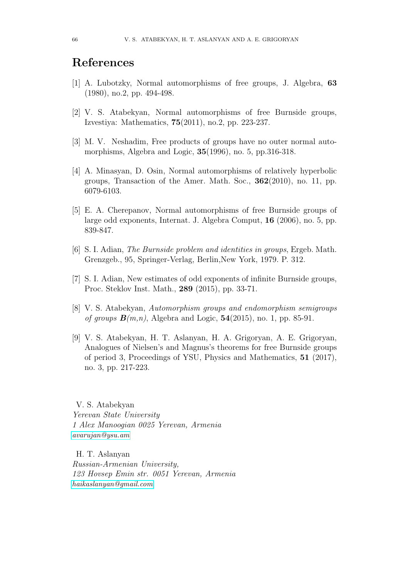### References

- <span id="page-6-0"></span>[1] A. Lubotzky, Normal automorphisms of free groups, J. Algebra, 63 (1980), no.2, pp. 494-498.
- <span id="page-6-1"></span>[2] V. S. Atabekyan, Normal automorphisms of free Burnside groups, Izvestiya: Mathematics, 75(2011), no.2, pp. 223-237.
- <span id="page-6-2"></span>[3] M. V. Neshadim, Free products of groups have no outer normal automorphisms, Algebra and Logic, **35**(1996), no. 5, pp.316-318.
- <span id="page-6-3"></span>[4] A. Minasyan, D. Osin, Normal automorphisms of relatively hyperbolic groups, Transaction of the Amer. Math. Soc., 362(2010), no. 11, pp. 6079-6103.
- <span id="page-6-4"></span>[5] E. A. Cherepanov, Normal automorphisms of free Burnside groups of large odd exponents, Internat. J. Algebra Comput, 16 (2006), no. 5, pp. 839-847.
- <span id="page-6-5"></span>[6] S. I. Adian, The Burnside problem and identities in groups, Ergeb. Math. Grenzgeb., 95, Springer-Verlag, Berlin,New York, 1979. P. 312.
- <span id="page-6-6"></span>[7] S. I. Adian, New estimates of odd exponents of infinite Burnside groups, Proc. Steklov Inst. Math., 289 (2015), pp. 33-71.
- <span id="page-6-7"></span>[8] V. S. Atabekyan, Automorphism groups and endomorphism semigroups of groups  $\mathbf{B}(m,n)$ , Algebra and Logic,  $\mathbf{54}(2015)$ , no. 1, pp. 85-91.
- <span id="page-6-8"></span>[9] V. S. Atabekyan, H. T. Aslanyan, H. A. Grigoryan, A. E. Grigoryan, Analogues of Nielsen's and Magnus's theorems for free Burnside groups of period 3, Proceedings of YSU, Physics and Mathematics, 51 (2017), no. 3, pp. 217-223.

V. S. Atabekyan Yerevan State University 1 Alex Manoogian 0025 Yerevan, Armenia [avarujan@ysu.am](mailto:avarujan@ysu.am)

H. T. Aslanyan Russian-Armenian University, 123 Hovsep Emin str. 0051 Yerevan, Armenia [haikaslanyan@gmail.com](mailto:haikaslanyan@gmail.com)